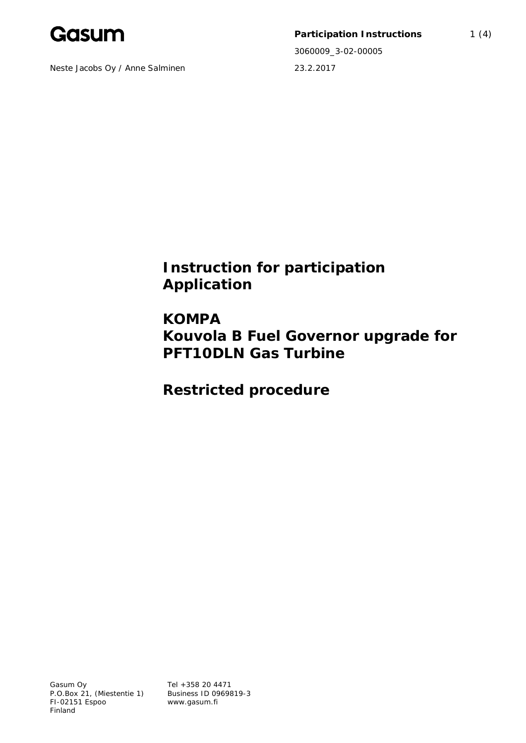

Neste Jacobs Oy / Anne Salminen 23.2.2017

Participation Instructions 1 (4) 3060009\_3-02-00005

**Instruction for participation Application**

**KOMPA Kouvola B Fuel Governor upgrade for PFT10DLN Gas Turbine**

**Restricted procedure**

Tel +358 20 4471 Business ID 0969819-3 www.gasum.fi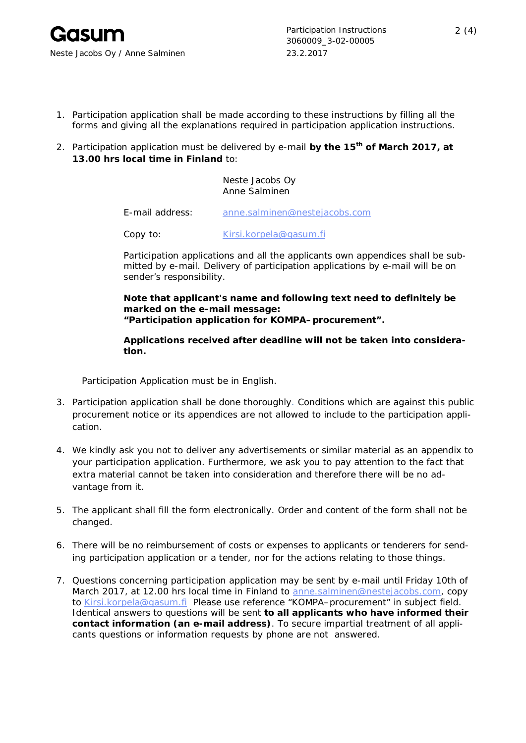Participation Instructions 2 (4) 3060009\_3-02-00005

- 1. Participation application shall be made according to these instructions by filling all the forms and giving all the explanations required in participation application instructions.
- 2. Participation application must be delivered by e-mail **by the 15th of March 2017, at 13.00 hrs local time in Finland** to:

## Neste Jacobs Oy Anne Salminen

E-mail address: anne.salminen@nestejacobs.com

Copy to: Kirsi.korpela@qasum.fi

Participation applications and all the applicants own appendices shall be submitted by e-mail. Delivery of participation applications by e-mail will be on sender's responsibility.

**Note that applicant's name and following text need to definitely be marked on the e-mail message:** *"Participation application for KOMPA–procurement".*

**Applications received after deadline will not be taken into consideration.**

Participation Application must be in English.

- 3. Participation application shall be done thoroughly. Conditions which are against this public procurement notice or its appendices are not allowed to include to the participation application.
- 4. We kindly ask you not to deliver any advertisements or similar material as an appendix to your participation application. Furthermore, we ask you to pay attention to the fact that extra material cannot be taken into consideration and therefore there will be no advantage from it.
- 5. The applicant shall fill the form electronically. Order and content of the form shall not be changed.
- 6. There will be no reimbursement of costs or expenses to applicants or tenderers for sending participation application or a tender, nor for the actions relating to those things.
- 7. Questions concerning participation application may be sent by e-mail *until Friday 10th of March 2017, at 12.00 hrs local time in Finland* to anne.salminen@nestejacobs.com, copy to Kirsi.korpela@gasum.fi Please use reference "KOMPA–procurement" in subject field. Identical answers to questions will be sent **to all applicants who have informed their contact information (an e-mail address)**. To secure impartial treatment of all applicants questions or information requests by phone are not answered.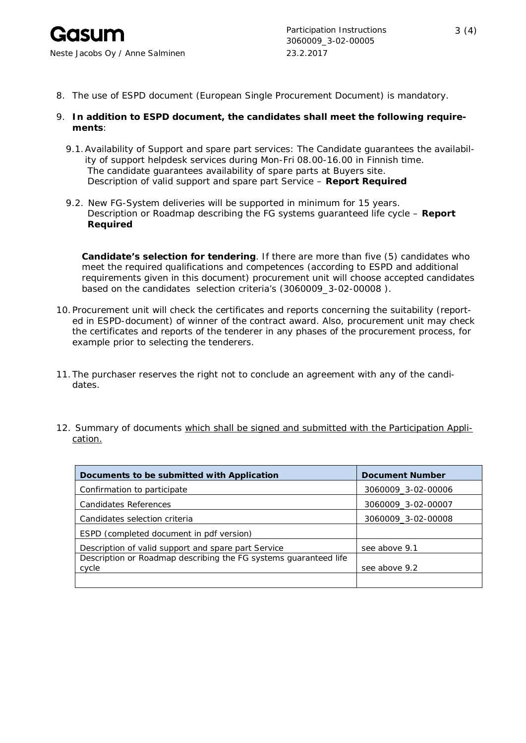

- 8. The use of ESPD document (European Single Procurement Document) is mandatory.
- 9. **In addition to ESPD document, the candidates shall meet the following requirements**:
	- 9.1.Availability of Support and spare part services: The Candidate guarantees the availability of support helpdesk services during Mon-Fri 08.00-16.00 in Finnish time. The candidate guarantees availability of spare parts at Buyers site. Description of valid support and spare part Service – **Report Required**
	- 9.2. New FG-System deliveries will be supported in minimum for 15 years. Description or Roadmap describing the FG systems guaranteed life cycle – **Report Required**

**Candidate's selection for tendering**. If there are more than five (5) candidates who meet the required qualifications and competences (according to ESPD and additional requirements given in this document) procurement unit will choose accepted candidates based on the candidates selection criteria's (3060009\_3-02-00008 ).

- 10.Procurement unit will check the certificates and reports concerning the suitability (reported in ESPD-document) of winner of the contract award. Also, procurement unit may check the certificates and reports of the tenderer in any phases of the procurement process, for example prior to selecting the tenderers.
- 11.The purchaser reserves the right not to conclude an agreement with any of the candidates.
- 12. Summary of documents which shall be signed and submitted with the Participation Application.

| Documents to be submitted with Application                       | Document Number    |
|------------------------------------------------------------------|--------------------|
| Confirmation to participate                                      | 3060009_3-02-00006 |
| Candidates References                                            | 3060009_3-02-00007 |
| Candidates selection criteria                                    | 3060009 3-02-00008 |
| ESPD (completed document in pdf version)                         |                    |
| Description of valid support and spare part Service              | see above 9.1      |
| Description or Roadmap describing the FG systems guaranteed life |                    |
| cycle                                                            | see above 9.2      |
|                                                                  |                    |